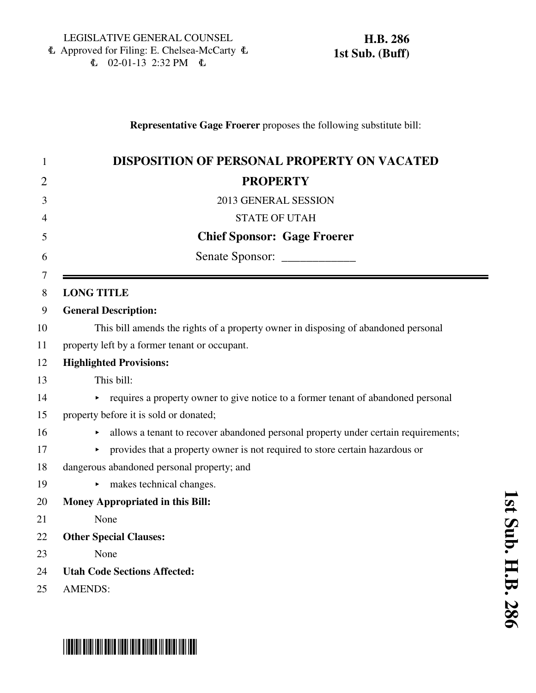$\Phi$  Approved for Filing: E. Chelsea-McCarty  $\Phi$ 

 $\text{L}$  02-01-13 2:32 PM  $\text{L}$ 

|  |  | Representative Gage Froerer proposes the following substitute bill: |  |
|--|--|---------------------------------------------------------------------|--|
|--|--|---------------------------------------------------------------------|--|

1 **DISPOSITION OF PERSONAL PROPERTY ON VACATED** 2 **PROPERTY** 3 2013 GENERAL SESSION 4 STATE OF UTAH 5 **Chief Sponsor: Gage Froerer** 6 Senate Sponsor: \_\_\_\_\_\_\_\_\_\_\_\_ 7 8 **LONG TITLE** 9 **General Description:** 10 This bill amends the rights of a property owner in disposing of abandoned personal 11 property left by a former tenant or occupant. 12 **Highlighted Provisions:** 13 This bill: 14 requires a property owner to give notice to a former tenant of abandoned personal 15 property before it is sold or donated; 16 allows a tenant to recover abandoned personal property under certain requirements; 17 < provides that a property owner is not required to store certain hazardous or 18 dangerous abandoned personal property; and 19 • makes technical changes. 20 **Money Appropriated in this Bill:** 21 None 22 **Other Special Clauses:** 23 None 24 **Utah Code Sections Affected:** 25 AMENDS:

# **1st Sub. H.B. 286** lst Sub. H.B. 286

# \*HB0286S01\*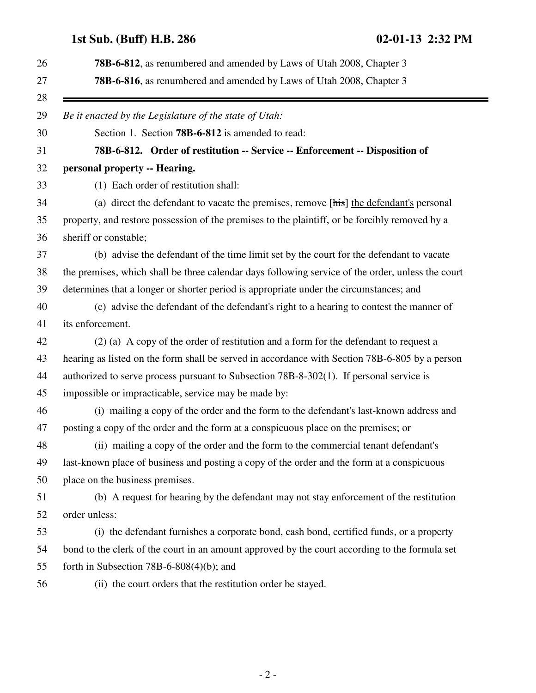# **1st Sub. (Buff) H.B. 286 02-01-13 2:32 PM**

| 78B-6-812, as renumbered and amended by Laws of Utah 2008, Chapter 3                              |
|---------------------------------------------------------------------------------------------------|
| <b>78B-6-816</b> , as renumbered and amended by Laws of Utah 2008, Chapter 3                      |
| Be it enacted by the Legislature of the state of Utah:                                            |
| Section 1. Section <b>78B-6-812</b> is amended to read:                                           |
| 78B-6-812. Order of restitution -- Service -- Enforcement -- Disposition of                       |
| personal property -- Hearing.                                                                     |
| (1) Each order of restitution shall:                                                              |
| (a) direct the defendant to vacate the premises, remove [his] the defendant's personal            |
| property, and restore possession of the premises to the plaintiff, or be forcibly removed by a    |
| sheriff or constable;                                                                             |
| (b) advise the defendant of the time limit set by the court for the defendant to vacate           |
| the premises, which shall be three calendar days following service of the order, unless the court |
| determines that a longer or shorter period is appropriate under the circumstances; and            |
| (c) advise the defendant of the defendant's right to a hearing to contest the manner of           |
| its enforcement.                                                                                  |
| $(2)$ (a) A copy of the order of restitution and a form for the defendant to request a            |
| hearing as listed on the form shall be served in accordance with Section 78B-6-805 by a person    |
| authorized to serve process pursuant to Subsection 78B-8-302(1). If personal service is           |
| impossible or impracticable, service may be made by:                                              |
| (i) mailing a copy of the order and the form to the defendant's last-known address and            |
| posting a copy of the order and the form at a conspicuous place on the premises; or               |
| (ii) mailing a copy of the order and the form to the commercial tenant defendant's                |
| last-known place of business and posting a copy of the order and the form at a conspicuous        |
| place on the business premises.                                                                   |
| (b) A request for hearing by the defendant may not stay enforcement of the restitution            |
| order unless:                                                                                     |
| (i) the defendant furnishes a corporate bond, cash bond, certified funds, or a property           |
| bond to the clerk of the court in an amount approved by the court according to the formula set    |
| forth in Subsection 78B-6-808(4)(b); and                                                          |
| (ii) the court orders that the restitution order be stayed.                                       |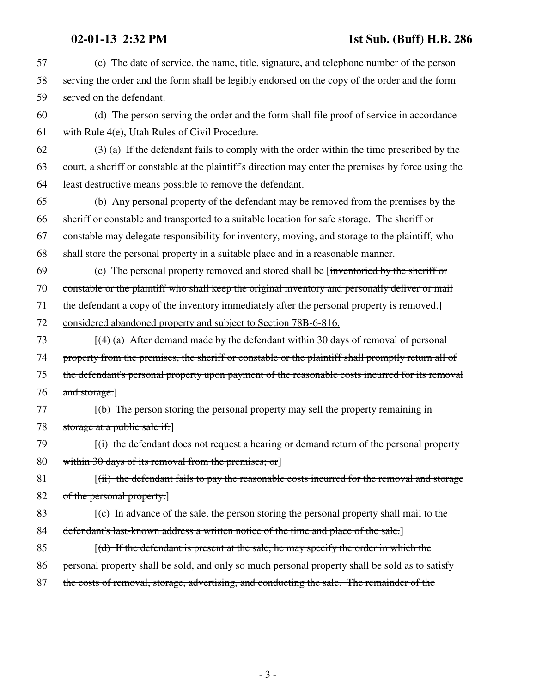## **02-01-13 2:32 PM 1st Sub. (Buff) H.B. 286**

- 57 (c) The date of service, the name, title, signature, and telephone number of the person 58 serving the order and the form shall be legibly endorsed on the copy of the order and the form 59 served on the defendant.
- 60 (d) The person serving the order and the form shall file proof of service in accordance 61 with Rule 4(e), Utah Rules of Civil Procedure.
- 62 (3) (a) If the defendant fails to comply with the order within the time prescribed by the 63 court, a sheriff or constable at the plaintiff's direction may enter the premises by force using the 64 least destructive means possible to remove the defendant.
- 65 (b) Any personal property of the defendant may be removed from the premises by the 66 sheriff or constable and transported to a suitable location for safe storage. The sheriff or 67 constable may delegate responsibility for inventory, moving, and storage to the plaintiff, who 68 shall store the personal property in a suitable place and in a reasonable manner.
- 69 (c) The personal property removed and stored shall be [inventoried by the sheriff or
- 70 constable or the plaintiff who shall keep the original inventory and personally deliver or mail
- 71 the defendant a copy of the inventory immediately after the personal property is removed.]
- 72 considered abandoned property and subject to Section 78B-6-816.
- 73  $[(4)$  (a) After demand made by the defendant within 30 days of removal of personal 74 property from the premises, the sheriff or constable or the plaintiff shall promptly return all of 75 the defendant's personal property upon payment of the reasonable costs incurred for its removal 76 and storage.
- 77 [(b) The person storing the personal property may sell the property remaining in 78 storage at a public sale if:
- 79 [(i) the defendant does not request a hearing or demand return of the personal property 80 within 30 days of its removal from the premises; or
- 81 [(ii) the defendant fails to pay the reasonable costs incurred for the removal and storage 82 of the personal property.]
- $83$  [(c) In advance of the sale, the person storing the personal property shall mail to the 84 defendant's last-known address a written notice of the time and place of the sale.]
- 85 [(d) If the defendant is present at the sale, he may specify the order in which the
- 86 personal property shall be sold, and only so much personal property shall be sold as to satisfy
- 87 the costs of removal, storage, advertising, and conducting the sale. The remainder of the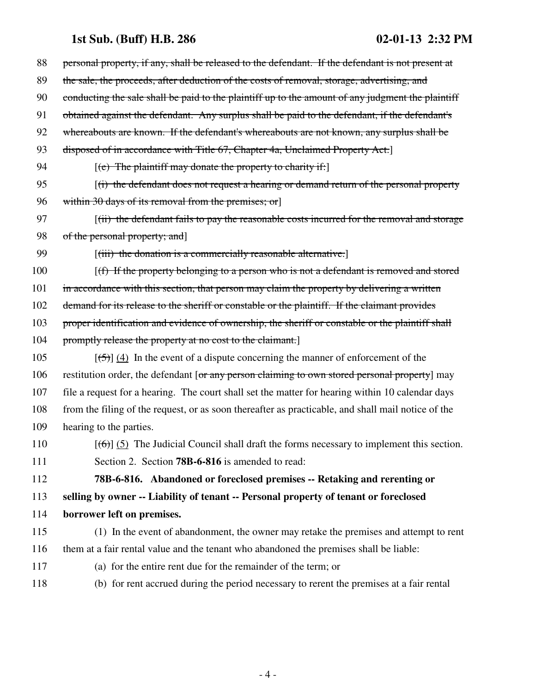# **1st Sub. (Buff) H.B. 286 02-01-13 2:32 PM**

| 88  | personal property, if any, shall be released to the defendant. If the defendant is not present at           |
|-----|-------------------------------------------------------------------------------------------------------------|
| 89  | the sale, the proceeds, after deduction of the costs of removal, storage, advertising, and                  |
| 90  | conducting the sale shall be paid to the plaintiff up to the amount of any judgment the plaintiff           |
| 91  | obtained against the defendant. Any surplus shall be paid to the defendant, if the defendant's              |
| 92  | whereabouts are known. If the defendant's whereabouts are not known, any surplus shall be                   |
| 93  | disposed of in accordance with Title 67, Chapter 4a, Unclaimed Property Act.]                               |
| 94  | $[$ (e) The plaintiff may donate the property to charity if: ]                                              |
| 95  | $(i)$ the defendant does not request a hearing or demand return of the personal property                    |
| 96  | within 30 days of its removal from the premises; or                                                         |
| 97  | $(iii)$ the defendant fails to pay the reasonable costs incurred for the removal and storage                |
| 98  | of the personal property; and]                                                                              |
| 99  | $[(iii)$ the donation is a commercially reasonable alternative.                                             |
| 100 | $[f]$ If the property belonging to a person who is not a defendant is removed and stored                    |
| 101 | in accordance with this section, that person may claim the property by delivering a written                 |
| 102 | demand for its release to the sheriff or constable or the plaintiff. If the claimant provides               |
| 103 | proper identification and evidence of ownership, the sheriff or constable or the plaintiff shall            |
| 104 | promptly release the property at no cost to the claimant.                                                   |
| 105 | $[\frac{(-5)}{4}]$ In the event of a dispute concerning the manner of enforcement of the                    |
| 106 | restitution order, the defendant [or any person claiming to own stored personal property] may               |
| 107 | file a request for a hearing. The court shall set the matter for hearing within 10 calendar days            |
| 108 | from the filing of the request, or as soon thereafter as practicable, and shall mail notice of the          |
| 109 | hearing to the parties.                                                                                     |
| 110 | $[\text{(\textbf{6})}]$ (5) The Judicial Council shall draft the forms necessary to implement this section. |
| 111 | Section 2. Section <b>78B-6-816</b> is amended to read:                                                     |
| 112 | 78B-6-816. Abandoned or foreclosed premises -- Retaking and rerenting or                                    |
| 113 | selling by owner -- Liability of tenant -- Personal property of tenant or foreclosed                        |
| 114 | borrower left on premises.                                                                                  |
| 115 | (1) In the event of abandonment, the owner may retake the premises and attempt to rent                      |
| 116 | them at a fair rental value and the tenant who abandoned the premises shall be liable:                      |
| 117 | (a) for the entire rent due for the remainder of the term; or                                               |
| 118 | (b) for rent accrued during the period necessary to rerent the premises at a fair rental                    |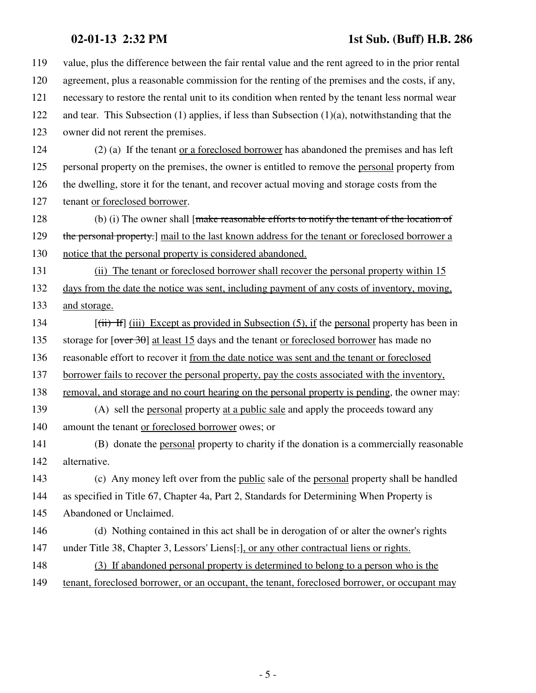## **02-01-13 2:32 PM 1st Sub. (Buff) H.B. 286**

119 value, plus the difference between the fair rental value and the rent agreed to in the prior rental 120 agreement, plus a reasonable commission for the renting of the premises and the costs, if any, 121 necessary to restore the rental unit to its condition when rented by the tenant less normal wear 122 and tear. This Subsection (1) applies, if less than Subsection (1)(a), notwithstanding that the 123 owner did not rerent the premises. 124 (2) (a) If the tenant or a foreclosed borrower has abandoned the premises and has left 125 personal property on the premises, the owner is entitled to remove the personal property from 126 the dwelling, store it for the tenant, and recover actual moving and storage costs from the 127 tenant or foreclosed borrower. 128 (b) (i) The owner shall [make reasonable efforts to notify the tenant of the location of 129 the personal property.] mail to the last known address for the tenant or foreclosed borrower a 130 notice that the personal property is considered abandoned. 131 (ii) The tenant or foreclosed borrower shall recover the personal property within 15 132 days from the date the notice was sent, including payment of any costs of inventory, moving, 133 and storage. 134  $[(iii)$  If  $(iii)$  Except as provided in Subsection (5), if the personal property has been in 135 storage for  $\sqrt{6}$  storage for  $\sqrt{30}$  at least 15 days and the tenant or foreclosed borrower has made no 136 reasonable effort to recover it from the date notice was sent and the tenant or foreclosed 137 borrower fails to recover the personal property, pay the costs associated with the inventory, 138 removal, and storage and no court hearing on the personal property is pending, the owner may: 139 (A) sell the personal property at a public sale and apply the proceeds toward any 140 amount the tenant or foreclosed borrower owes; or 141 (B) donate the personal property to charity if the donation is a commercially reasonable 142 alternative. 143 (c) Any money left over from the public sale of the personal property shall be handled 144 as specified in Title 67, Chapter 4a, Part 2, Standards for Determining When Property is 145 Abandoned or Unclaimed. 146 (d) Nothing contained in this act shall be in derogation of or alter the owner's rights 147 under Title 38, Chapter 3, Lessors' Liens[.], or any other contractual liens or rights. 148 (3) If abandoned personal property is determined to belong to a person who is the 149 tenant, foreclosed borrower, or an occupant, the tenant, foreclosed borrower, or occupant may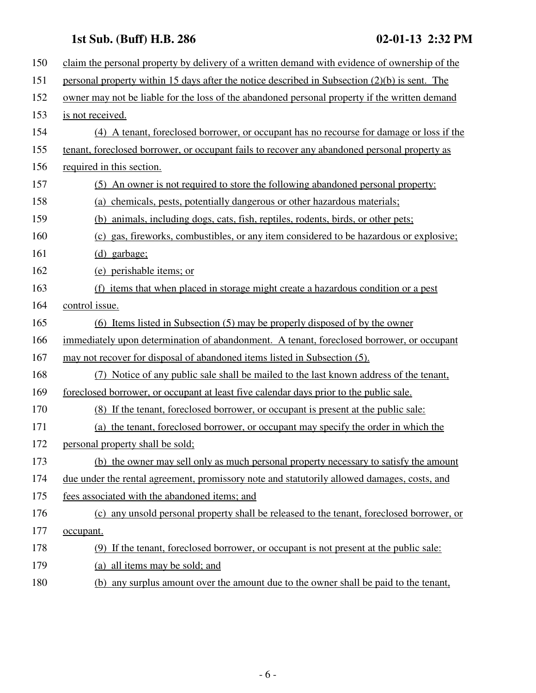# **1st Sub. (Buff) H.B. 286 02-01-13 2:32 PM**

| 150 | claim the personal property by delivery of a written demand with evidence of ownership of the   |
|-----|-------------------------------------------------------------------------------------------------|
| 151 | personal property within 15 days after the notice described in Subsection $(2)(b)$ is sent. The |
| 152 | owner may not be liable for the loss of the abandoned personal property if the written demand   |
| 153 | is not received.                                                                                |
| 154 | (4) A tenant, foreclosed borrower, or occupant has no recourse for damage or loss if the        |
| 155 | tenant, foreclosed borrower, or occupant fails to recover any abandoned personal property as    |
| 156 | required in this section.                                                                       |
| 157 | (5) An owner is not required to store the following abandoned personal property:                |
| 158 | (a) chemicals, pests, potentially dangerous or other hazardous materials;                       |
| 159 | (b) animals, including dogs, cats, fish, reptiles, rodents, birds, or other pets;               |
| 160 | (c) gas, fireworks, combustibles, or any item considered to be hazardous or explosive;          |
| 161 | (d) garbage;                                                                                    |
| 162 | (e) perishable items; or                                                                        |
| 163 | (f) items that when placed in storage might create a hazardous condition or a pest              |
| 164 | control issue.                                                                                  |
| 165 | (6) Items listed in Subsection (5) may be properly disposed of by the owner                     |
| 166 | immediately upon determination of abandonment. A tenant, foreclosed borrower, or occupant       |
| 167 | may not recover for disposal of abandoned items listed in Subsection (5).                       |
| 168 | (7) Notice of any public sale shall be mailed to the last known address of the tenant,          |
| 169 | foreclosed borrower, or occupant at least five calendar days prior to the public sale.          |
| 170 | (8) If the tenant, foreclosed borrower, or occupant is present at the public sale:              |
| 171 | (a) the tenant, foreclosed borrower, or occupant may specify the order in which the             |
| 172 | personal property shall be sold;                                                                |
| 173 | (b) the owner may sell only as much personal property necessary to satisfy the amount           |
| 174 | due under the rental agreement, promissory note and statutorily allowed damages, costs, and     |
| 175 | fees associated with the abandoned items; and                                                   |
| 176 | (c) any unsold personal property shall be released to the tenant, foreclosed borrower, or       |
| 177 | occupant.                                                                                       |
| 178 | (9) If the tenant, foreclosed borrower, or occupant is not present at the public sale:          |
| 179 | (a) all items may be sold; and                                                                  |
| 180 | (b) any surplus amount over the amount due to the owner shall be paid to the tenant,            |